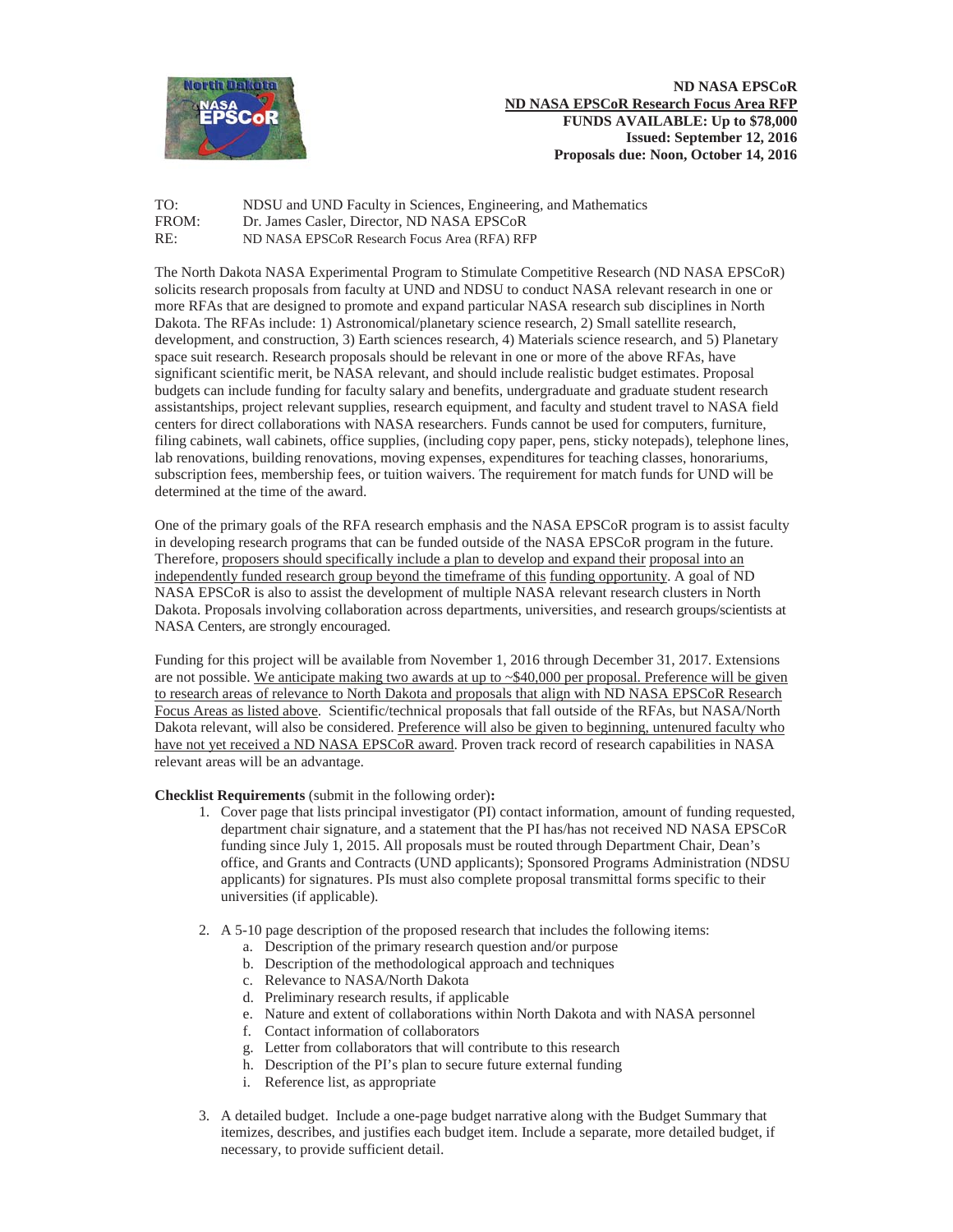

TO: NDSU and UND Faculty in Sciences, Engineering, and Mathematics FROM: Dr. James Casler. Director. ND NASA EPSCoR Dr. James Casler, Director, ND NASA EPSCoR RE: ND NASA EPSCoR Research Focus Area (RFA) RFP

The North Dakota NASA Experimental Program to Stimulate Competitive Research (ND NASA EPSCoR) solicits research proposals from faculty at UND and NDSU to conduct NASA relevant research in one or more RFAs that are designed to promote and expand particular NASA research sub disciplines in North Dakota. The RFAs include: 1) Astronomical/planetary science research, 2) Small satellite research, development, and construction, 3) Earth sciences research, 4) Materials science research, and 5) Planetary space suit research. Research proposals should be relevant in one or more of the above RFAs, have significant scientific merit, be NASA relevant, and should include realistic budget estimates. Proposal budgets can include funding for faculty salary and benefits, undergraduate and graduate student research assistantships, project relevant supplies, research equipment, and faculty and student travel to NASA field centers for direct collaborations with NASA researchers. Funds cannot be used for computers, furniture, filing cabinets, wall cabinets, office supplies, (including copy paper, pens, sticky notepads), telephone lines, lab renovations, building renovations, moving expenses, expenditures for teaching classes, honorariums, subscription fees, membership fees, or tuition waivers. The requirement for match funds for UND will be determined at the time of the award.

One of the primary goals of the RFA research emphasis and the NASA EPSCoR program is to assist faculty in developing research programs that can be funded outside of the NASA EPSCoR program in the future. Therefore, proposers should specifically include a plan to develop and expand their proposal into an independently funded research group beyond the timeframe of this funding opportunity. A goal of ND NASA EPSCoR is also to assist the development of multiple NASA relevant research clusters in North Dakota. Proposals involving collaboration across departments, universities, and research groups/scientists at NASA Centers, are strongly encouraged.

Funding for this project will be available from November 1, 2016 through December 31, 2017. Extensions are not possible. We anticipate making two awards at up to  $\sim$ \$40,000 per proposal. Preference will be given to research areas of relevance to North Dakota and proposals that align with ND NASA EPSCoR Research Focus Areas as listed above. Scientific/technical proposals that fall outside of the RFAs, but NASA/North Dakota relevant, will also be considered. Preference will also be given to beginning, untenured faculty who have not yet received a ND NASA EPSCoR award. Proven track record of research capabilities in NASA relevant areas will be an advantage.

**Checklist Requirements** (submit in the following order)**:**

- 1. Cover page that lists principal investigator (PI) contact information, amount of funding requested, department chair signature, and a statement that the PI has/has not received ND NASA EPSCoR funding since July 1, 2015. All proposals must be routed through Department Chair, Dean's office, and Grants and Contracts (UND applicants); Sponsored Programs Administration (NDSU applicants) for signatures. PIs must also complete proposal transmittal forms specific to their universities (if applicable).
- 2. A 5-10 page description of the proposed research that includes the following items:
	- a. Description of the primary research question and/or purpose
	- b. Description of the methodological approach and techniques
	- c. Relevance to NASA/North Dakota
	- d. Preliminary research results, if applicable
	- e. Nature and extent of collaborations within North Dakota and with NASA personnel
	- f. Contact information of collaborators
	- g. Letter from collaborators that will contribute to this research
	- h. Description of the PI's plan to secure future external funding
	- i. Reference list, as appropriate
- 3. A detailed budget. Include a one-page budget narrative along with the Budget Summary that itemizes, describes, and justifies each budget item. Include a separate, more detailed budget, if necessary, to provide sufficient detail.